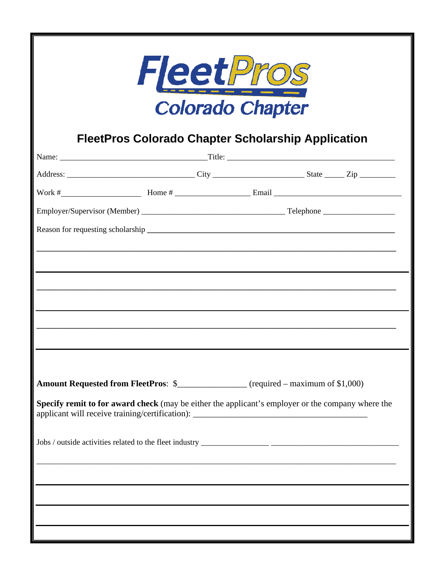| <b>FleetPros</b><br><b>Colorado Chapter</b>                                                                           |  |
|-----------------------------------------------------------------------------------------------------------------------|--|
| <b>FleetPros Colorado Chapter Scholarship Application</b>                                                             |  |
|                                                                                                                       |  |
|                                                                                                                       |  |
|                                                                                                                       |  |
|                                                                                                                       |  |
|                                                                                                                       |  |
| <u> 1989 - Johann Stoff, deutscher Stoff, der Stoff, der Stoff, der Stoff, der Stoff, der Stoff, der Stoff, der S</u> |  |
|                                                                                                                       |  |
|                                                                                                                       |  |
|                                                                                                                       |  |
| the control of the control of the control of the                                                                      |  |
|                                                                                                                       |  |
|                                                                                                                       |  |
| Amount Requested from FleetPros: \$_______________ (required – maximum of \$1,000)                                    |  |
| Specify remit to for award check (may be either the applicant's employer or the company where the                     |  |
|                                                                                                                       |  |
|                                                                                                                       |  |
|                                                                                                                       |  |
|                                                                                                                       |  |
|                                                                                                                       |  |
|                                                                                                                       |  |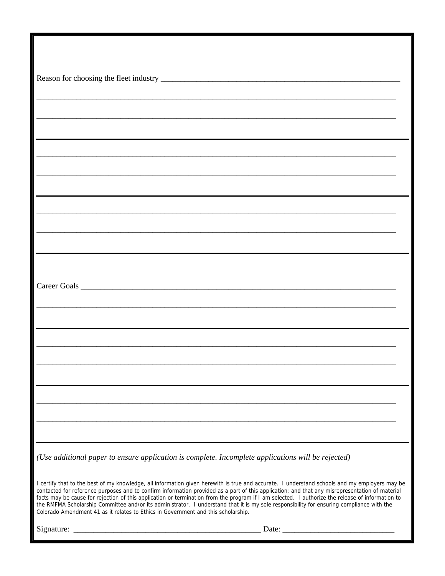| (Use additional paper to ensure application is complete. Incomplete applications will be rejected)                                                                                                                                                                                                                                                                                                                                                                                                                                                                                                                                                                                    |  |
|---------------------------------------------------------------------------------------------------------------------------------------------------------------------------------------------------------------------------------------------------------------------------------------------------------------------------------------------------------------------------------------------------------------------------------------------------------------------------------------------------------------------------------------------------------------------------------------------------------------------------------------------------------------------------------------|--|
| I certify that to the best of my knowledge, all information given herewith is true and accurate. I understand schools and my employers may be<br>contacted for reference purposes and to confirm information provided as a part of this application; and that any misrepresentation of material<br>facts may be cause for rejection of this application or termination from the program if I am selected. I authorize the release of information to<br>the RMFMA Scholarship Committee and/or its administrator. I understand that it is my sole responsibility for ensuring compliance with the<br>Colorado Amendment 41 as it relates to Ethics in Government and this scholarship. |  |
|                                                                                                                                                                                                                                                                                                                                                                                                                                                                                                                                                                                                                                                                                       |  |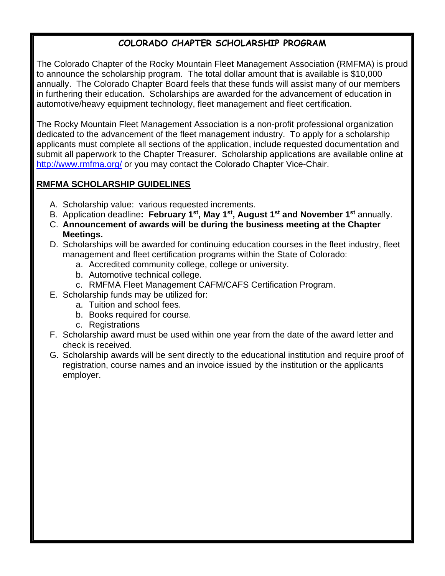## **COLORADO CHAPTER SCHOLARSHIP PROGRAM**

The Colorado Chapter of the Rocky Mountain Fleet Management Association (RMFMA) is proud to announce the scholarship program. The total dollar amount that is available is \$10,000 annually. The Colorado Chapter Board feels that these funds will assist many of our members in furthering their education. Scholarships are awarded for the advancement of education in automotive/heavy equipment technology, fleet management and fleet certification.

The Rocky Mountain Fleet Management Association is a non-profit professional organization dedicated to the advancement of the fleet management industry. To apply for a scholarship applicants must complete all sections of the application, include requested documentation and submit all paperwork to the Chapter Treasurer. Scholarship applications are available online at http://www.rmfma.org/ or you may contact the Colorado Chapter Vice-Chair.

## **RMFMA SCHOLARSHIP GUIDELINES**

- A. Scholarship value: various requested increments.
- B. Application deadline**: February 1st, May 1st, August 1st and November 1st** annually.
- C. **Announcement of awards will be during the business meeting at the Chapter Meetings.**
- D. Scholarships will be awarded for continuing education courses in the fleet industry, fleet management and fleet certification programs within the State of Colorado:
	- a. Accredited community college, college or university.
	- b. Automotive technical college.
	- c. RMFMA Fleet Management CAFM/CAFS Certification Program.
- E. Scholarship funds may be utilized for:
	- a. Tuition and school fees.
	- b. Books required for course.
	- c. Registrations
- F. Scholarship award must be used within one year from the date of the award letter and check is received.
- G. Scholarship awards will be sent directly to the educational institution and require proof of registration, course names and an invoice issued by the institution or the applicants employer.